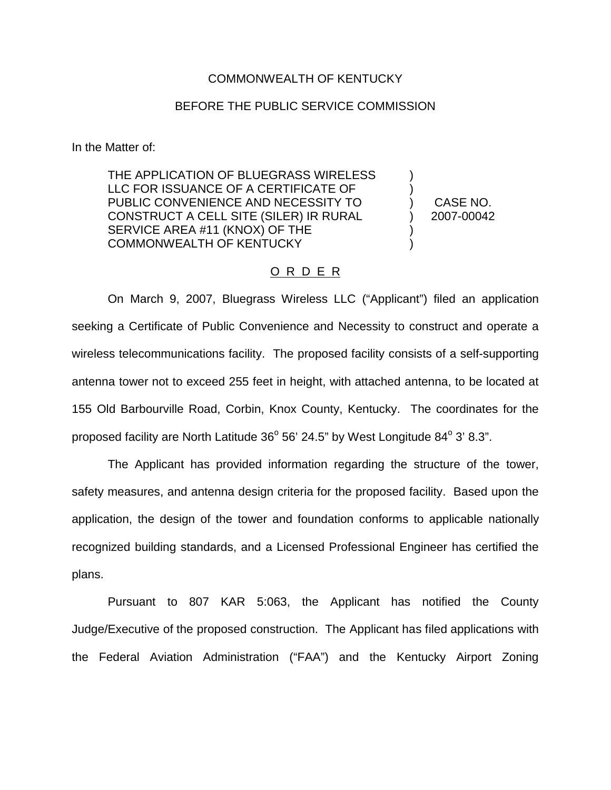## COMMONWEALTH OF KENTUCKY

## BEFORE THE PUBLIC SERVICE COMMISSION

In the Matter of:

THE APPLICATION OF BLUEGRASS WIRELESS LLC FOR ISSUANCE OF A CERTIFICATE OF PUBLIC CONVENIENCE AND NECESSITY TO CONSTRUCT A CELL SITE (SILER) IR RURAL SERVICE AREA #11 (KNOX) OF THE COMMONWEALTH OF KENTUCKY

CASE NO. 2007-00042

) ) ) ) ) )

## O R D E R

On March 9, 2007, Bluegrass Wireless LLC ("Applicant") filed an application seeking a Certificate of Public Convenience and Necessity to construct and operate a wireless telecommunications facility. The proposed facility consists of a self-supporting antenna tower not to exceed 255 feet in height, with attached antenna, to be located at 155 Old Barbourville Road, Corbin, Knox County, Kentucky. The coordinates for the proposed facility are North Latitude  $36^{\circ}$  56' 24.5" by West Longitude  $84^{\circ}$  3' 8.3".

The Applicant has provided information regarding the structure of the tower, safety measures, and antenna design criteria for the proposed facility. Based upon the application, the design of the tower and foundation conforms to applicable nationally recognized building standards, and a Licensed Professional Engineer has certified the plans.

Pursuant to 807 KAR 5:063, the Applicant has notified the County Judge/Executive of the proposed construction. The Applicant has filed applications with the Federal Aviation Administration ("FAA") and the Kentucky Airport Zoning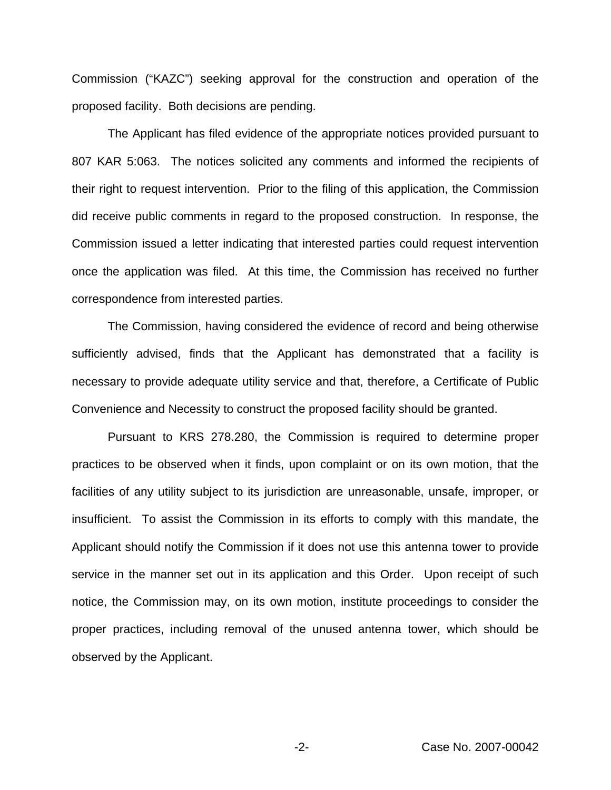Commission ("KAZC") seeking approval for the construction and operation of the proposed facility. Both decisions are pending.

The Applicant has filed evidence of the appropriate notices provided pursuant to 807 KAR 5:063. The notices solicited any comments and informed the recipients of their right to request intervention. Prior to the filing of this application, the Commission did receive public comments in regard to the proposed construction. In response, the Commission issued a letter indicating that interested parties could request intervention once the application was filed. At this time, the Commission has received no further correspondence from interested parties.

The Commission, having considered the evidence of record and being otherwise sufficiently advised, finds that the Applicant has demonstrated that a facility is necessary to provide adequate utility service and that, therefore, a Certificate of Public Convenience and Necessity to construct the proposed facility should be granted.

Pursuant to KRS 278.280, the Commission is required to determine proper practices to be observed when it finds, upon complaint or on its own motion, that the facilities of any utility subject to its jurisdiction are unreasonable, unsafe, improper, or insufficient. To assist the Commission in its efforts to comply with this mandate, the Applicant should notify the Commission if it does not use this antenna tower to provide service in the manner set out in its application and this Order. Upon receipt of such notice, the Commission may, on its own motion, institute proceedings to consider the proper practices, including removal of the unused antenna tower, which should be observed by the Applicant.